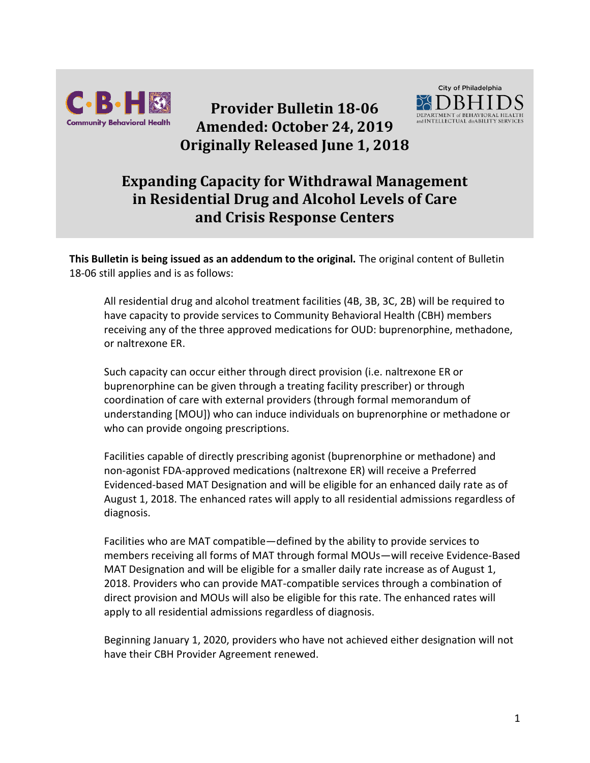

**Provider Bulletin 18-06 Amended: October 24, 2019 Originally Released June 1, 2018**



## **Expanding Capacity for Withdrawal Management in Residential Drug and Alcohol Levels of Care and Crisis Response Centers**

**This Bulletin is being issued as an addendum to the original.** The original content of Bulletin 18-06 still applies and is as follows:

All residential drug and alcohol treatment facilities (4B, 3B, 3C, 2B) will be required to have capacity to provide services to Community Behavioral Health (CBH) members receiving any of the three approved medications for OUD: buprenorphine, methadone, or naltrexone ER.

Such capacity can occur either through direct provision (i.e. naltrexone ER or buprenorphine can be given through a treating facility prescriber) or through coordination of care with external providers (through formal memorandum of understanding [MOU]) who can induce individuals on buprenorphine or methadone or who can provide ongoing prescriptions.

Facilities capable of directly prescribing agonist (buprenorphine or methadone) and non-agonist FDA-approved medications (naltrexone ER) will receive a Preferred Evidenced-based MAT Designation and will be eligible for an enhanced daily rate as of August 1, 2018. The enhanced rates will apply to all residential admissions regardless of diagnosis.

Facilities who are MAT compatible—defined by the ability to provide services to members receiving all forms of MAT through formal MOUs—will receive Evidence-Based MAT Designation and will be eligible for a smaller daily rate increase as of August 1, 2018. Providers who can provide MAT-compatible services through a combination of direct provision and MOUs will also be eligible for this rate. The enhanced rates will apply to all residential admissions regardless of diagnosis.

Beginning January 1, 2020, providers who have not achieved either designation will not have their CBH Provider Agreement renewed.